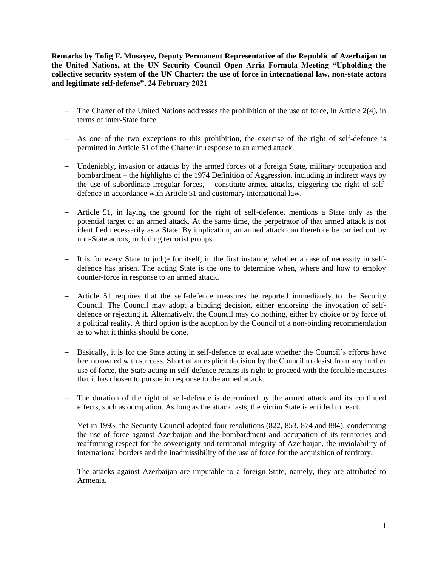**Remarks by Tofig F. Musayev, Deputy Permanent Representative of the Republic of Azerbaijan to the United Nations, at the UN Security Council Open Arria Formula Meeting "Upholding the collective security system of the UN Charter: the use of force in international law, non-state actors and legitimate self-defense", 24 February 2021** 

- − The Charter of the United Nations addresses the prohibition of the use of force, in Article 2(4), in terms of inter-State force.
- − As one of the two exceptions to this prohibition, the exercise of the right of self-defence is permitted in Article 51 of the Charter in response to an armed attack.
- − Undeniably, invasion or attacks by the armed forces of a foreign State, military occupation and bombardment – the highlights of the 1974 Definition of Aggression, including in indirect ways by the use of subordinate irregular forces, – constitute armed attacks, triggering the right of selfdefence in accordance with Article 51 and customary international law.
- − Article 51, in laying the ground for the right of self-defence, mentions a State only as the potential target of an armed attack. At the same time, the perpetrator of that armed attack is not identified necessarily as a State. By implication, an armed attack can therefore be carried out by non-State actors, including terrorist groups.
- − It is for every State to judge for itself, in the first instance, whether a case of necessity in selfdefence has arisen. The acting State is the one to determine when, where and how to employ counter-force in response to an armed attack.
- − Article 51 requires that the self-defence measures be reported immediately to the Security Council. The Council may adopt a binding decision, either endorsing the invocation of selfdefence or rejecting it. Alternatively, the Council may do nothing, either by choice or by force of a political reality. A third option is the adoption by the Council of a non-binding recommendation as to what it thinks should be done.
- − Basically, it is for the State acting in self-defence to evaluate whether the Council's efforts have been crowned with success. Short of an explicit decision by the Council to desist from any further use of force, the State acting in self-defence retains its right to proceed with the forcible measures that it has chosen to pursue in response to the armed attack.
- − The duration of the right of self-defence is determined by the armed attack and its continued effects, such as occupation. As long as the attack lasts, the victim State is entitled to react.
- − Yet in 1993, the Security Council adopted four resolutions (822, 853, 874 and 884), condemning the use of force against Azerbaijan and the bombardment and occupation of its territories and reaffirming respect for the sovereignty and territorial integrity of Azerbaijan, the inviolability of international borders and the inadmissibility of the use of force for the acquisition of territory.
- − The attacks against Azerbaijan are imputable to a foreign State, namely, they are attributed to Armenia.